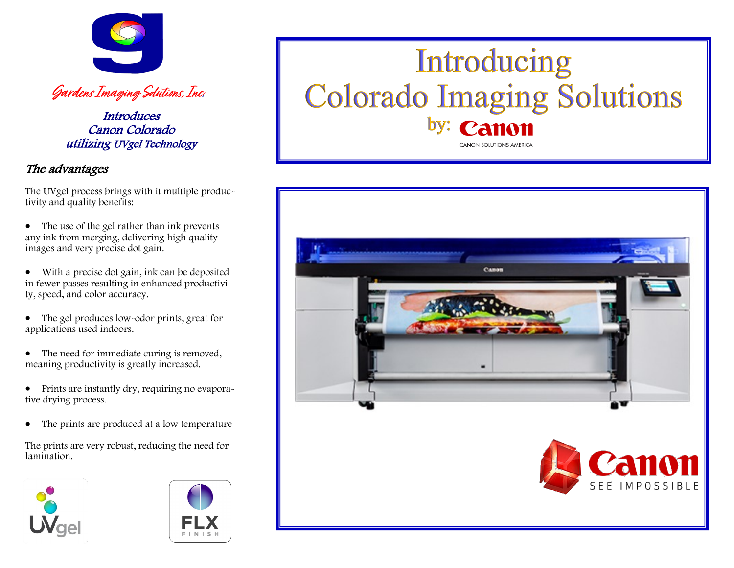

**Gardens Imaging Solutions, Inc.**

**Introduces** Canon Colorado utilizing UVgel Technology

# The advantages

The UVgel process brings with it multiple productivity and quality benefits:

- The use of the gel rather than ink prevents any ink from merging, delivering high quality images and very precise dot gain.
- With a precise dot gain, ink can be deposited in fewer passes resulting in enhanced productivity, speed, and color accuracy.
- The gel produces low-odor prints, great for applications used indoors.
- The need for immediate curing is removed, meaning productivity is greatly increased.
- Prints are instantly dry, requiring no evaporative drying process.
- The prints are produced at a low temperature

The prints are very robust, reducing the need for lamination.





# Introducing **Colorado Imaging Solutions CANON SOLUTIONS AMERICA**